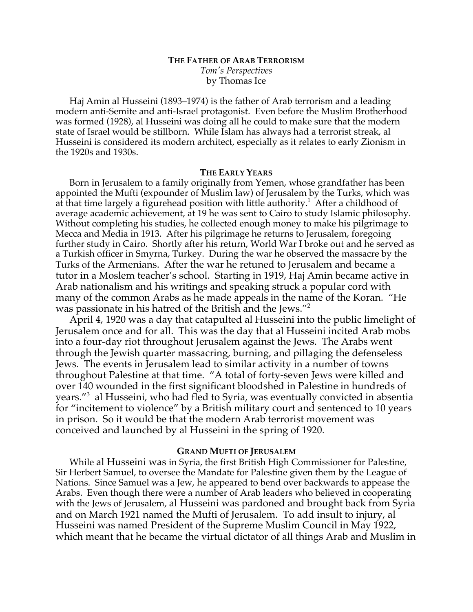## **THE FATHER OF ARAB TERRORISM** *Tom's Perspectives* by Thomas Ice

Haj Amin al Husseini (1893–1974) is the father of Arab terrorism and a leading modern anti-Semite and anti-Israel protagonist. Even before the Muslim Brotherhood was formed (1928), al Husseini was doing all he could to make sure that the modern state of Israel would be stillborn. While Islam has always had a terrorist streak, al Husseini is considered its modern architect, especially as it relates to early Zionism in the 1920s and 1930s.

#### **THE EARLY YEARS**

Born in Jerusalem to a family originally from Yemen, whose grandfather has been appointed the Mufti (expounder of Muslim law) of Jerusalem by the Turks, which was at that time largely a figurehead position with little authority. 1 After a childhood of average academic achievement, at 19 he was sent to Cairo to study Islamic philosophy. Without completing his studies, he collected enough money to make his pilgrimage to Mecca and Media in 1913. After his pilgrimage he returns to Jerusalem, foregoing further study in Cairo. Shortly after his return, World War I broke out and he served as a Turkish officer in Smyrna, Turkey. During the war he observed the massacre by the Turks of the Armenians. After the war he retuned to Jerusalem and became a tutor in a Moslem teacher's school. Starting in 1919, Haj Amin became active in Arab nationalism and his writings and speaking struck a popular cord with many of the common Arabs as he made appeals in the name of the Koran. "He was passionate in his hatred of the British and the Jews."2

April 4, 1920 was a day that catapulted al Husseini into the public limelight of Jerusalem once and for all. This was the day that al Husseini incited Arab mobs into a four-day riot throughout Jerusalem against the Jews. The Arabs went through the Jewish quarter massacring, burning, and pillaging the defenseless Jews. The events in Jerusalem lead to similar activity in a number of towns throughout Palestine at that time. "A total of forty-seven Jews were killed and over 140 wounded in the first significant bloodshed in Palestine in hundreds of years."3 al Husseini, who had fled to Syria, was eventually convicted in absentia for "incitement to violence" by a British military court and sentenced to 10 years in prison. So it would be that the modern Arab terrorist movement was conceived and launched by al Husseini in the spring of 1920.

### **GRAND MUFTI OF JERUSALEM**

While al Husseini was in Syria, the first British High Commissioner for Palestine, Sir Herbert Samuel, to oversee the Mandate for Palestine given them by the League of Nations. Since Samuel was a Jew, he appeared to bend over backwards to appease the Arabs. Even though there were a number of Arab leaders who believed in cooperating with the Jews of Jerusalem, al Husseini was pardoned and brought back from Syria and on March 1921 named the Mufti of Jerusalem. To add insult to injury, al Husseini was named President of the Supreme Muslim Council in May 1922, which meant that he became the virtual dictator of all things Arab and Muslim in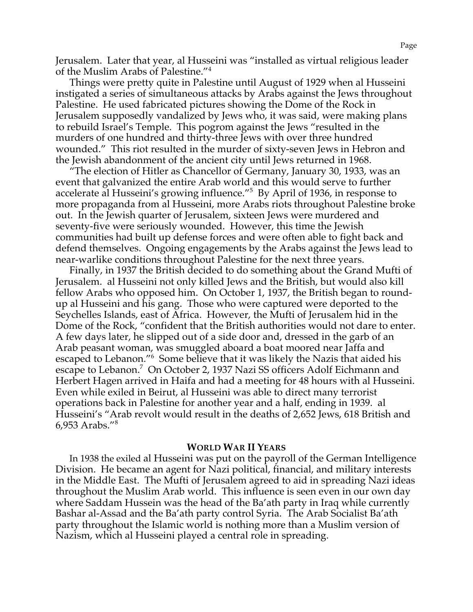Jerusalem. Later that year, al Husseini was "installed as virtual religious leader of the Muslim Arabs of Palestine."4

Things were pretty quite in Palestine until August of 1929 when al Husseini instigated a series of simultaneous attacks by Arabs against the Jews throughout Palestine. He used fabricated pictures showing the Dome of the Rock in Jerusalem supposedly vandalized by Jews who, it was said, were making plans to rebuild Israel's Temple. This pogrom against the Jews "resulted in the murders of one hundred and thirty-three Jews with over three hundred wounded." This riot resulted in the murder of sixty-seven Jews in Hebron and the Jewish abandonment of the ancient city until Jews returned in 1968.

"The election of Hitler as Chancellor of Germany, January 30, 1933, was an event that galvanized the entire Arab world and this would serve to further accelerate al Husseini's growing influence."5 By April of 1936, in response to more propaganda from al Husseini, more Arabs riots throughout Palestine broke out. In the Jewish quarter of Jerusalem, sixteen Jews were murdered and seventy-five were seriously wounded. However, this time the Jewish communities had built up defense forces and were often able to fight back and defend themselves. Ongoing engagements by the Arabs against the Jews lead to near-warlike conditions throughout Palestine for the next three years.

Finally, in 1937 the British decided to do something about the Grand Mufti of Jerusalem. al Husseini not only killed Jews and the British, but would also kill fellow Arabs who opposed him. On October 1, 1937, the British began to roundup al Husseini and his gang. Those who were captured were deported to the Seychelles Islands, east of Africa. However, the Mufti of Jerusalem hid in the Dome of the Rock, "confident that the British authorities would not dare to enter. A few days later, he slipped out of a side door and, dressed in the garb of an Arab peasant woman, was smuggled aboard a boat moored near Jaffa and escaped to Lebanon."6 Some believe that it was likely the Nazis that aided his escape to Lebanon.<sup>7</sup> On October 2, 1937 Nazi SS officers Adolf Eichmann and Herbert Hagen arrived in Haifa and had a meeting for 48 hours with al Husseini. Even while exiled in Beirut, al Husseini was able to direct many terrorist operations back in Palestine for another year and a half, ending in 1939. al Husseini's "Arab revolt would result in the deaths of 2,652 Jews, 618 British and 6,953 Arabs."8

## **WORLD WAR II YEARS**

In 1938 the exiled al Husseini was put on the payroll of the German Intelligence Division. He became an agent for Nazi political, financial, and military interests in the Middle East. The Mufti of Jerusalem agreed to aid in spreading Nazi ideas throughout the Muslim Arab world. This influence is seen even in our own day where Saddam Hussein was the head of the Ba'ath party in Iraq while currently Bashar al-Assad and the Ba'ath party control Syria. The Arab Socialist Ba'ath party throughout the Islamic world is nothing more than a Muslim version of Nazism, which al Husseini played a central role in spreading.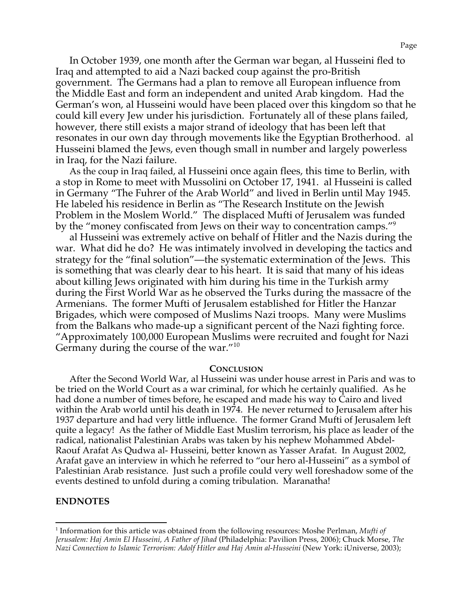In October 1939, one month after the German war began, al Husseini fled to Iraq and attempted to aid a Nazi backed coup against the pro-British government. The Germans had a plan to remove all European influence from the Middle East and form an independent and united Arab kingdom. Had the German's won, al Husseini would have been placed over this kingdom so that he could kill every Jew under his jurisdiction. Fortunately all of these plans failed, however, there still exists a major strand of ideology that has been left that resonates in our own day through movements like the Egyptian Brotherhood. al Husseini blamed the Jews, even though small in number and largely powerless in Iraq, for the Nazi failure.

As the coup in Iraq failed, al Husseini once again flees, this time to Berlin, with a stop in Rome to meet with Mussolini on October 17, 1941. al Husseini is called in Germany "The Fuhrer of the Arab World" and lived in Berlin until May 1945. He labeled his residence in Berlin as "The Research Institute on the Jewish Problem in the Moslem World." The displaced Mufti of Jerusalem was funded by the "money confiscated from Jews on their way to concentration camps."9

al Husseini was extremely active on behalf of Hitler and the Nazis during the war. What did he do? He was intimately involved in developing the tactics and strategy for the "final solution"—the systematic extermination of the Jews. This is something that was clearly dear to his heart. It is said that many of his ideas about killing Jews originated with him during his time in the Turkish army during the First World War as he observed the Turks during the massacre of the Armenians. The former Mufti of Jerusalem established for Hitler the Hanzar Brigades, which were composed of Muslims Nazi troops. Many were Muslims from the Balkans who made-up a significant percent of the Nazi fighting force. "Approximately 100,000 European Muslims were recruited and fought for Nazi Germany during the course of the war."<sup>10</sup>

### **CONCLUSION**

After the Second World War, al Husseini was under house arrest in Paris and was to be tried on the World Court as a war criminal, for which he certainly qualified. As he had done a number of times before, he escaped and made his way to Cairo and lived within the Arab world until his death in 1974. He never returned to Jerusalem after his 1937 departure and had very little influence. The former Grand Mufti of Jerusalem left quite a legacy! As the father of Middle East Muslim terrorism, his place as leader of the radical, nationalist Palestinian Arabs was taken by his nephew Mohammed Abdel-Raouf Arafat As Qudwa al- Husseini, better known as Yasser Arafat. In August 2002, Arafat gave an interview in which he referred to "our hero al-Husseini" as a symbol of Palestinian Arab resistance. Just such a profile could very well foreshadow some of the events destined to unfold during a coming tribulation. Maranatha!

# **ENDNOTES**

 <sup>1</sup> Information for this article was obtained from the following resources: Moshe Perlman, *Mufti of Jerusalem: Haj Amin El Husseini, A Father of Jihad* (Philadelphia: Pavilion Press, 2006); Chuck Morse, *The Nazi Connection to Islamic Terrorism: Adolf Hitler and Haj Amin al-Husseini* (New York: iUniverse, 2003);